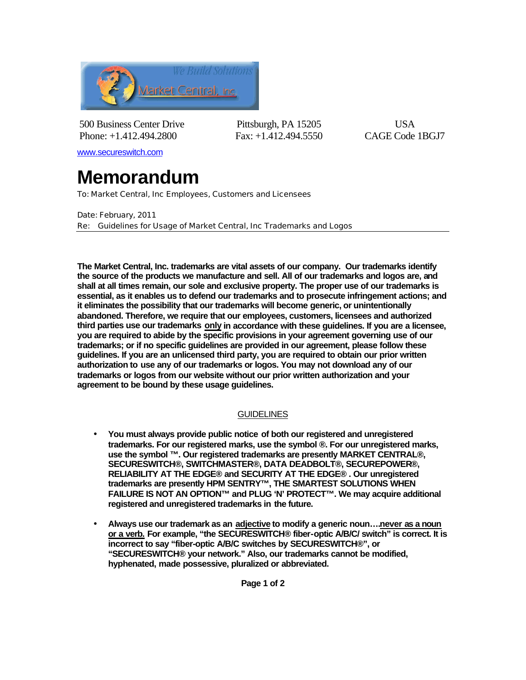

500 Business Center Drive Pittsburgh, PA 15205 USA Phone: +1.412.494.2800 Fax: +1.412.494.5550 CAGE Code 1BGJ7

www.secureswitch.com

## **Memorandum**

To: Market Central, Inc Employees, Customers and Licensees

Date: February, 2011 Re: Guidelines for Usage of Market Central, Inc Trademarks and Logos

**The Market Central, Inc. trademarks are vital assets of our company. Our trademarks identify the source of the products we manufacture and sell. All of our trademarks and logos are, and shall at all times remain, our sole and exclusive property. The proper use of our trademarks is essential, as it enables us to defend our trademarks and to prosecute infringement actions; and it eliminates the possibility that our trademarks will become generic, or unintentionally abandoned. Therefore, we require that our employees, customers, licensees and authorized third parties use our trademarks only in accordance with these guidelines. If you are a licensee, you are required to abide by the specific provisions in your agreement governing use of our trademarks; or if no specific guidelines are provided in our agreement, please follow these guidelines. If you are an unlicensed third party, you are required to obtain our prior written authorization to use any of our trademarks or logos. You may not download any of our trademarks or logos from our website without our prior written authorization and your agreement to be bound by these usage guidelines.** 

## **GUIDELINES**

- **You must always provide public notice of both our registered and unregistered trademarks. For our registered marks, use the symbol ®. For our unregistered marks, use the symbol ™. Our registered trademarks are presently MARKET CENTRAL®, SECURESWITCH®, SWITCHMASTER®, DATA DEADBOLT®, SECUREPOWER®, RELIABILITY AT THE EDGE® and SECURITY AT THE EDGE® . Our unregistered trademarks are presently HPM SENTRY™, THE SMARTEST SOLUTIONS WHEN FAILURE IS NOT AN OPTION™ and PLUG 'N' PROTECT™. We may acquire additional registered and unregistered trademarks in the future.**
- **Always use our trademark as an adjective to modify a generic noun….never as a noun or a verb. For example, "the SECURESWITCH® fiber-optic A/B/C/ switch" is correct. It is incorrect to say "fiber-optic A/B/C switches by SECURESWITCH®", or "SECURESWITCH® your network." Also, our trademarks cannot be modified, hyphenated, made possessive, pluralized or abbreviated.**